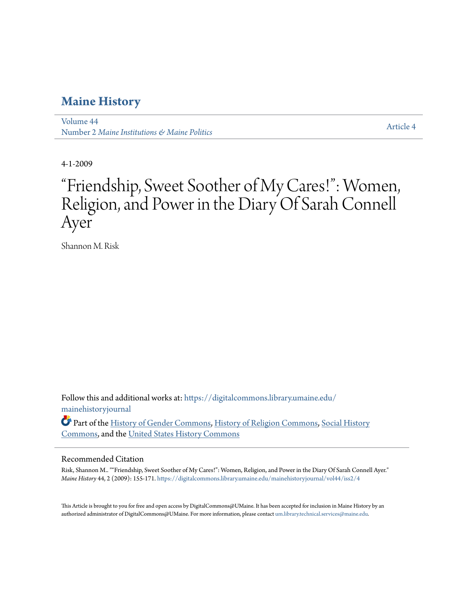### **[Maine History](https://digitalcommons.library.umaine.edu/mainehistoryjournal?utm_source=digitalcommons.library.umaine.edu%2Fmainehistoryjournal%2Fvol44%2Fiss2%2F4&utm_medium=PDF&utm_campaign=PDFCoverPages)**

[Volume 44](https://digitalcommons.library.umaine.edu/mainehistoryjournal/vol44?utm_source=digitalcommons.library.umaine.edu%2Fmainehistoryjournal%2Fvol44%2Fiss2%2F4&utm_medium=PDF&utm_campaign=PDFCoverPages) Number 2 *[Maine Institutions & Maine Politics](https://digitalcommons.library.umaine.edu/mainehistoryjournal/vol44/iss2?utm_source=digitalcommons.library.umaine.edu%2Fmainehistoryjournal%2Fvol44%2Fiss2%2F4&utm_medium=PDF&utm_campaign=PDFCoverPages)*

[Article 4](https://digitalcommons.library.umaine.edu/mainehistoryjournal/vol44/iss2/4?utm_source=digitalcommons.library.umaine.edu%2Fmainehistoryjournal%2Fvol44%2Fiss2%2F4&utm_medium=PDF&utm_campaign=PDFCoverPages)

4-1-2009

# "Friendship, Sweet Soother of My Cares!": Women, Religion, and Power in the Diary Of Sarah Connell Ayer

Shannon M. Risk

Follow this and additional works at: [https://digitalcommons.library.umaine.edu/](https://digitalcommons.library.umaine.edu/mainehistoryjournal?utm_source=digitalcommons.library.umaine.edu%2Fmainehistoryjournal%2Fvol44%2Fiss2%2F4&utm_medium=PDF&utm_campaign=PDFCoverPages) [mainehistoryjournal](https://digitalcommons.library.umaine.edu/mainehistoryjournal?utm_source=digitalcommons.library.umaine.edu%2Fmainehistoryjournal%2Fvol44%2Fiss2%2F4&utm_medium=PDF&utm_campaign=PDFCoverPages)

Part of the [History of Gender Commons](http://network.bepress.com/hgg/discipline/498?utm_source=digitalcommons.library.umaine.edu%2Fmainehistoryjournal%2Fvol44%2Fiss2%2F4&utm_medium=PDF&utm_campaign=PDFCoverPages), [History of Religion Commons,](http://network.bepress.com/hgg/discipline/499?utm_source=digitalcommons.library.umaine.edu%2Fmainehistoryjournal%2Fvol44%2Fiss2%2F4&utm_medium=PDF&utm_campaign=PDFCoverPages) [Social History](http://network.bepress.com/hgg/discipline/506?utm_source=digitalcommons.library.umaine.edu%2Fmainehistoryjournal%2Fvol44%2Fiss2%2F4&utm_medium=PDF&utm_campaign=PDFCoverPages) [Commons,](http://network.bepress.com/hgg/discipline/506?utm_source=digitalcommons.library.umaine.edu%2Fmainehistoryjournal%2Fvol44%2Fiss2%2F4&utm_medium=PDF&utm_campaign=PDFCoverPages) and the [United States History Commons](http://network.bepress.com/hgg/discipline/495?utm_source=digitalcommons.library.umaine.edu%2Fmainehistoryjournal%2Fvol44%2Fiss2%2F4&utm_medium=PDF&utm_campaign=PDFCoverPages)

#### Recommended Citation

Risk, Shannon M.. ""Friendship, Sweet Soother of My Cares!": Women, Religion, and Power in the Diary Of Sarah Connell Ayer." *Maine History* 44, 2 (2009): 155-171. [https://digitalcommons.library.umaine.edu/mainehistoryjournal/vol44/iss2/4](https://digitalcommons.library.umaine.edu/mainehistoryjournal/vol44/iss2/4?utm_source=digitalcommons.library.umaine.edu%2Fmainehistoryjournal%2Fvol44%2Fiss2%2F4&utm_medium=PDF&utm_campaign=PDFCoverPages)

This Article is brought to you for free and open access by DigitalCommons@UMaine. It has been accepted for inclusion in Maine History by an authorized administrator of DigitalCommons@UMaine. For more information, please contact [um.library.technical.services@maine.edu.](mailto:um.library.technical.services@maine.edu)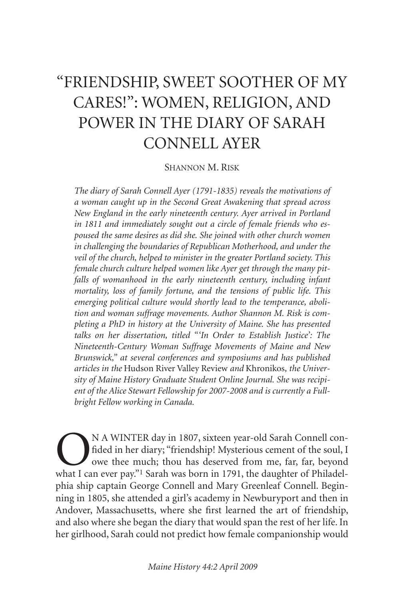## "FRIENDSHIP, SWEET SOOTHER OF MY CARES!": WOMEN, RELIGION, AND POWER IN THE DIARY OF SARAH CONNELL AYER

#### SHANNON M. RISK

*The diary of Sarah Connell Ayer (1791-1835) reveals the motivations of a woman caught up in the Second Great Awakening that spread across New England in the early nineteenth century. Ayer arrived in Portland in 1811 and immediately sought out a circle of female friends who espoused the same desires as did she. She joined with other church women in challenging the boundaries of Republican Motherhood, and under the veil of the church, helped to minister in the greater Portland society. This female church culture helped women like Ayer get through the many pitfalls of womanhood in the early nineteenth century, including infant mortality, loss of family fortune, and the tensions of public life. This emerging political culture would shortly lead to the temperance, abolition and woman suffrage movements. Author Shannon M. Risk is completing a PhD in history at the University of Maine. She has presented talks on her dissertation, titled "'In Order to Establish Justice': The Nineteenth-Century Woman Suffrage Movements of Maine and New Brunswick," at several conferences and symposiums and has published articles in the* Hudson River Valley Review *and* Khronikos*, the University of Maine History Graduate Student Online Journal. She was recipient of the Alice Stewart Fellowship for 2007-2008 and is currently a Fullbright Fellow working in Canada.*

**ON A WINTER day in 1807, sixteen year-old Sarah Connell con-**<br>fided in her diary; "friendship! Mysterious cement of the soul, I<br>owe thee much; thou has deserved from me, far, far, beyond<br>what I can ever pay."<sup>1</sup> Sarah was fided in her diary; "friendship! Mysterious cement of the soul, I owe thee much; thou has deserved from me, far, far, beyond what I can ever pay."<sup>1</sup> Sarah was born in 1791, the daughter of Philadelphia ship captain George Connell and Mary Greenleaf Connell. Beginning in 1805, she attended a girl's academy in Newburyport and then in Andover, Massachusetts, where she first learned the art of friendship, and also where she began the diary that would span the rest of her life. In her girlhood, Sarah could not predict how female companionship would

*Maine History 44:2 April 2009*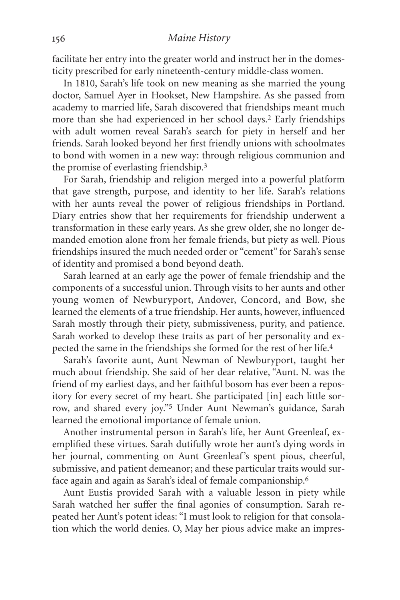facilitate her entry into the greater world and instruct her in the domesticity prescribed for early nineteenth-century middle-class women.

In 1810, Sarah's life took on new meaning as she married the young doctor, Samuel Ayer in Hookset, New Hampshire. As she passed from academy to married life, Sarah discovered that friendships meant much more than she had experienced in her school days.2 Early friendships with adult women reveal Sarah's search for piety in herself and her friends. Sarah looked beyond her first friendly unions with schoolmates to bond with women in a new way: through religious communion and the promise of everlasting friendship.3

For Sarah, friendship and religion merged into a powerful platform that gave strength, purpose, and identity to her life. Sarah's relations with her aunts reveal the power of religious friendships in Portland. Diary entries show that her requirements for friendship underwent a transformation in these early years. As she grew older, she no longer demanded emotion alone from her female friends, but piety as well. Pious friendships insured the much needed order or "cement" for Sarah's sense of identity and promised a bond beyond death.

Sarah learned at an early age the power of female friendship and the components of a successful union. Through visits to her aunts and other young women of Newburyport, Andover, Concord, and Bow, she learned the elements of a true friendship. Her aunts, however, influenced Sarah mostly through their piety, submissiveness, purity, and patience. Sarah worked to develop these traits as part of her personality and expected the same in the friendships she formed for the rest of her life.4

Sarah's favorite aunt, Aunt Newman of Newburyport, taught her much about friendship. She said of her dear relative, "Aunt. N. was the friend of my earliest days, and her faithful bosom has ever been a repository for every secret of my heart. She participated [in] each little sorrow, and shared every joy."5 Under Aunt Newman's guidance, Sarah learned the emotional importance of female union.

Another instrumental person in Sarah's life, her Aunt Greenleaf, exemplified these virtues. Sarah dutifully wrote her aunt's dying words in her journal, commenting on Aunt Greenleaf's spent pious, cheerful, submissive, and patient demeanor; and these particular traits would surface again and again as Sarah's ideal of female companionship.6

Aunt Eustis provided Sarah with a valuable lesson in piety while Sarah watched her suffer the final agonies of consumption. Sarah repeated her Aunt's potent ideas: "I must look to religion for that consolation which the world denies. O, May her pious advice make an impres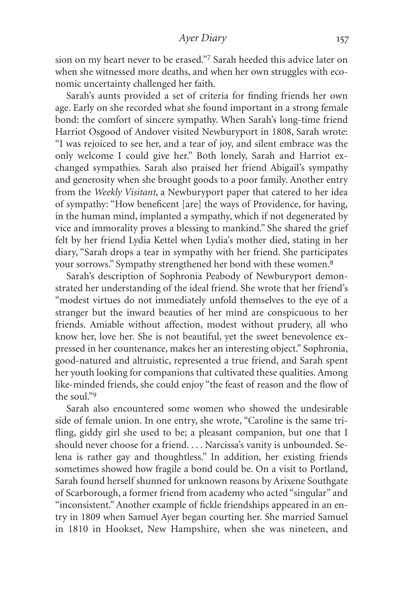sion on my heart never to be erased."7 Sarah heeded this advice later on when she witnessed more deaths, and when her own struggles with economic uncertainty challenged her faith.

Sarah's aunts provided a set of criteria for finding friends her own age. Early on she recorded what she found important in a strong female bond: the comfort of sincere sympathy. When Sarah's long-time friend Harriot Osgood of Andover visited Newburyport in 1808, Sarah wrote: "I was rejoiced to see her, and a tear of joy, and silent embrace was the only welcome I could give her." Both lonely, Sarah and Harriot exchanged sympathies. Sarah also praised her friend Abigail's sympathy and generosity when she brought goods to a poor family. Another entry from the *Weekly Visitant*, a Newburyport paper that catered to her idea of sympathy: "How beneficent [are] the ways of Providence, for having, in the human mind, implanted a sympathy, which if not degenerated by vice and immorality proves a blessing to mankind." She shared the grief felt by her friend Lydia Kettel when Lydia's mother died, stating in her diary, "Sarah drops a tear in sympathy with her friend. She participates your sorrows." Sympathy strengthened her bond with these women.8

Sarah's description of Sophronia Peabody of Newburyport demonstrated her understanding of the ideal friend. She wrote that her friend's "modest virtues do not immediately unfold themselves to the eye of a stranger but the inward beauties of her mind are conspicuous to her friends. Amiable without affection, modest without prudery, all who know her, love her. She is not beautiful, yet the sweet benevolence expressed in her countenance, makes her an interesting object." Sophronia, good-natured and altruistic, represented a true friend, and Sarah spent her youth looking for companions that cultivated these qualities. Among like-minded friends, she could enjoy "the feast of reason and the flow of the soul."9

Sarah also encountered some women who showed the undesirable side of female union. In one entry, she wrote, "Caroline is the same trifling, giddy girl she used to be; a pleasant companion, but one that I should never choose for a friend. . . . Narcissa's vanity is unbounded. Selena is rather gay and thoughtless." In addition, her existing friends sometimes showed how fragile a bond could be. On a visit to Portland, Sarah found herself shunned for unknown reasons by Arixene Southgate of Scarborough, a former friend from academy who acted "singular" and "inconsistent." Another example of fickle friendships appeared in an entry in 1809 when Samuel Ayer began courting her. She married Samuel in 1810 in Hookset, New Hampshire, when she was nineteen, and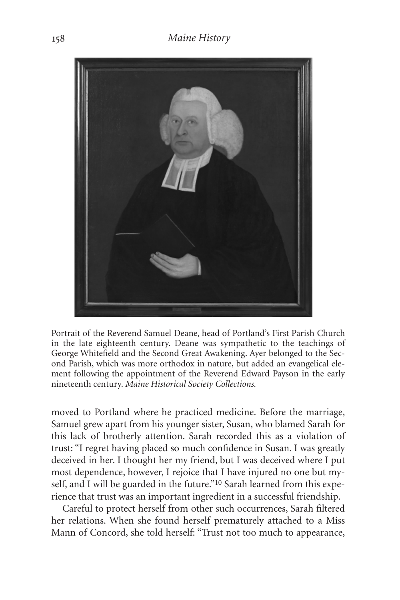

Portrait of the Reverend Samuel Deane, head of Portland's First Parish Church in the late eighteenth century. Deane was sympathetic to the teachings of George Whitefield and the Second Great Awakening. Ayer belonged to the Second Parish, which was more orthodox in nature, but added an evangelical element following the appointment of the Reverend Edward Payson in the early nineteenth century. *Maine Historical Society Collections.*

moved to Portland where he practiced medicine. Before the marriage, Samuel grew apart from his younger sister, Susan, who blamed Sarah for this lack of brotherly attention. Sarah recorded this as a violation of trust: "I regret having placed so much confidence in Susan. I was greatly deceived in her. I thought her my friend, but I was deceived where I put most dependence, however, I rejoice that I have injured no one but myself, and I will be guarded in the future."<sup>10</sup> Sarah learned from this experience that trust was an important ingredient in a successful friendship.

Careful to protect herself from other such occurrences, Sarah filtered her relations. When she found herself prematurely attached to a Miss Mann of Concord, she told herself: "Trust not too much to appearance,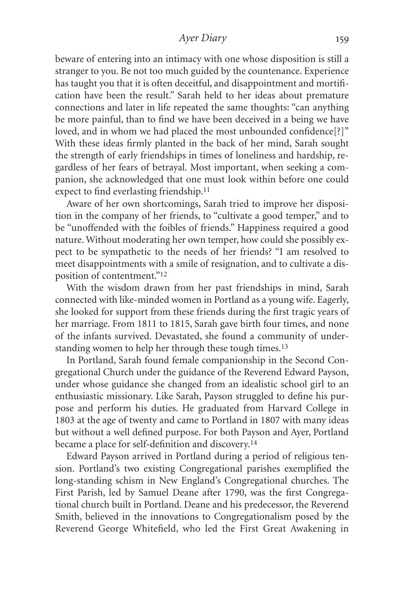beware of entering into an intimacy with one whose disposition is still a stranger to you. Be not too much guided by the countenance. Experience has taught you that it is often deceitful, and disappointment and mortification have been the result." Sarah held to her ideas about premature connections and later in life repeated the same thoughts: "can anything be more painful, than to find we have been deceived in a being we have loved, and in whom we had placed the most unbounded confidence<sup>[?]"</sup> With these ideas firmly planted in the back of her mind, Sarah sought the strength of early friendships in times of loneliness and hardship, regardless of her fears of betrayal. Most important, when seeking a companion, she acknowledged that one must look within before one could expect to find everlasting friendship.11

Aware of her own shortcomings, Sarah tried to improve her disposition in the company of her friends, to "cultivate a good temper," and to be "unoffended with the foibles of friends." Happiness required a good nature. Without moderating her own temper, how could she possibly expect to be sympathetic to the needs of her friends? "I am resolved to meet disappointments with a smile of resignation, and to cultivate a disposition of contentment."12

With the wisdom drawn from her past friendships in mind, Sarah connected with like-minded women in Portland as a young wife. Eagerly, she looked for support from these friends during the first tragic years of her marriage. From 1811 to 1815, Sarah gave birth four times, and none of the infants survived. Devastated, she found a community of understanding women to help her through these tough times.<sup>13</sup>

In Portland, Sarah found female companionship in the Second Congregational Church under the guidance of the Reverend Edward Payson, under whose guidance she changed from an idealistic school girl to an enthusiastic missionary. Like Sarah, Payson struggled to define his purpose and perform his duties. He graduated from Harvard College in 1803 at the age of twenty and came to Portland in 1807 with many ideas but without a well defined purpose. For both Payson and Ayer, Portland became a place for self-definition and discovery.14

Edward Payson arrived in Portland during a period of religious tension. Portland's two existing Congregational parishes exemplified the long-standing schism in New England's Congregational churches. The First Parish, led by Samuel Deane after 1790, was the first Congregational church built in Portland. Deane and his predecessor, the Reverend Smith, believed in the innovations to Congregationalism posed by the Reverend George Whitefield, who led the First Great Awakening in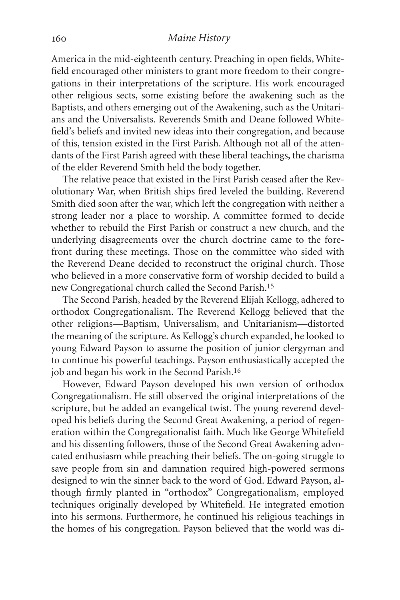America in the mid-eighteenth century. Preaching in open fields, Whitefield encouraged other ministers to grant more freedom to their congregations in their interpretations of the scripture. His work encouraged other religious sects, some existing before the awakening such as the Baptists, and others emerging out of the Awakening, such as the Unitarians and the Universalists. Reverends Smith and Deane followed Whitefield's beliefs and invited new ideas into their congregation, and because of this, tension existed in the First Parish. Although not all of the attendants of the First Parish agreed with these liberal teachings, the charisma of the elder Reverend Smith held the body together.

The relative peace that existed in the First Parish ceased after the Revolutionary War, when British ships fired leveled the building. Reverend Smith died soon after the war, which left the congregation with neither a strong leader nor a place to worship. A committee formed to decide whether to rebuild the First Parish or construct a new church, and the underlying disagreements over the church doctrine came to the forefront during these meetings. Those on the committee who sided with the Reverend Deane decided to reconstruct the original church. Those who believed in a more conservative form of worship decided to build a new Congregational church called the Second Parish.15

The Second Parish, headed by the Reverend Elijah Kellogg, adhered to orthodox Congregationalism. The Reverend Kellogg believed that the other religions—Baptism, Universalism, and Unitarianism—distorted the meaning of the scripture. As Kellogg's church expanded, he looked to young Edward Payson to assume the position of junior clergyman and to continue his powerful teachings. Payson enthusiastically accepted the job and began his work in the Second Parish.16

However, Edward Payson developed his own version of orthodox Congregationalism. He still observed the original interpretations of the scripture, but he added an evangelical twist. The young reverend developed his beliefs during the Second Great Awakening, a period of regeneration within the Congregationalist faith. Much like George Whitefield and his dissenting followers, those of the Second Great Awakening advocated enthusiasm while preaching their beliefs. The on-going struggle to save people from sin and damnation required high-powered sermons designed to win the sinner back to the word of God. Edward Payson, although firmly planted in "orthodox" Congregationalism, employed techniques originally developed by Whitefield. He integrated emotion into his sermons. Furthermore, he continued his religious teachings in the homes of his congregation. Payson believed that the world was di-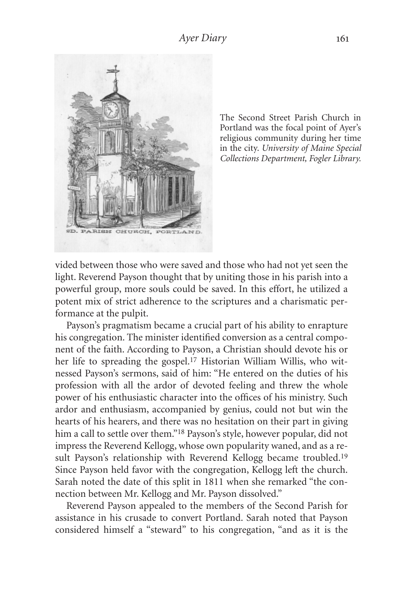

The Second Street Parish Church in Portland was the focal point of Ayer's religious community during her time in the city. *University of Maine Special Collections Department, Fogler Library.*

vided between those who were saved and those who had not yet seen the light. Reverend Payson thought that by uniting those in his parish into a powerful group, more souls could be saved. In this effort, he utilized a potent mix of strict adherence to the scriptures and a charismatic performance at the pulpit.

Payson's pragmatism became a crucial part of his ability to enrapture his congregation. The minister identified conversion as a central component of the faith. According to Payson, a Christian should devote his or her life to spreading the gospel.17 Historian William Willis, who witnessed Payson's sermons, said of him: "He entered on the duties of his profession with all the ardor of devoted feeling and threw the whole power of his enthusiastic character into the offices of his ministry. Such ardor and enthusiasm, accompanied by genius, could not but win the hearts of his hearers, and there was no hesitation on their part in giving him a call to settle over them."18 Payson's style, however popular, did not impress the Reverend Kellogg, whose own popularity waned, and as a result Payson's relationship with Reverend Kellogg became troubled.<sup>19</sup> Since Payson held favor with the congregation, Kellogg left the church. Sarah noted the date of this split in 1811 when she remarked "the connection between Mr. Kellogg and Mr. Payson dissolved."

Reverend Payson appealed to the members of the Second Parish for assistance in his crusade to convert Portland. Sarah noted that Payson considered himself a "steward" to his congregation, "and as it is the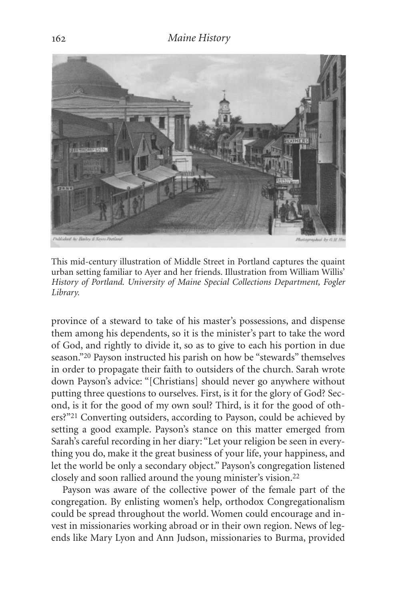

This mid-century illustration of Middle Street in Portland captures the quaint urban setting familiar to Ayer and her friends. Illustration from William Willis' *History of Portland*. *University of Maine Special Collections Department, Fogler Library.*

province of a steward to take of his master's possessions, and dispense them among his dependents, so it is the minister's part to take the word of God, and rightly to divide it, so as to give to each his portion in due season."20 Payson instructed his parish on how be "stewards" themselves in order to propagate their faith to outsiders of the church. Sarah wrote down Payson's advice: "[Christians] should never go anywhere without putting three questions to ourselves. First, is it for the glory of God? Second, is it for the good of my own soul? Third, is it for the good of others?"21 Converting outsiders, according to Payson, could be achieved by setting a good example. Payson's stance on this matter emerged from Sarah's careful recording in her diary: "Let your religion be seen in everything you do, make it the great business of your life, your happiness, and let the world be only a secondary object." Payson's congregation listened closely and soon rallied around the young minister's vision.22

Payson was aware of the collective power of the female part of the congregation. By enlisting women's help, orthodox Congregationalism could be spread throughout the world. Women could encourage and invest in missionaries working abroad or in their own region. News of legends like Mary Lyon and Ann Judson, missionaries to Burma, provided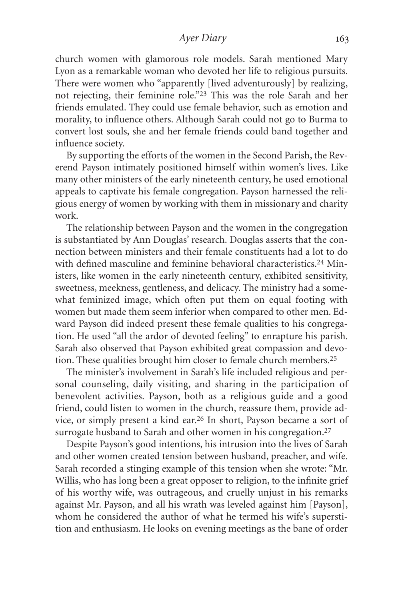church women with glamorous role models. Sarah mentioned Mary Lyon as a remarkable woman who devoted her life to religious pursuits. There were women who "apparently [lived adventurously] by realizing, not rejecting, their feminine role."23 This was the role Sarah and her friends emulated. They could use female behavior, such as emotion and morality, to influence others. Although Sarah could not go to Burma to convert lost souls, she and her female friends could band together and influence society.

By supporting the efforts of the women in the Second Parish, the Reverend Payson intimately positioned himself within women's lives. Like many other ministers of the early nineteenth century, he used emotional appeals to captivate his female congregation. Payson harnessed the religious energy of women by working with them in missionary and charity work.

The relationship between Payson and the women in the congregation is substantiated by Ann Douglas' research. Douglas asserts that the connection between ministers and their female constituents had a lot to do with defined masculine and feminine behavioral characteristics.<sup>24</sup> Ministers, like women in the early nineteenth century, exhibited sensitivity, sweetness, meekness, gentleness, and delicacy. The ministry had a somewhat feminized image, which often put them on equal footing with women but made them seem inferior when compared to other men. Edward Payson did indeed present these female qualities to his congregation. He used "all the ardor of devoted feeling" to enrapture his parish. Sarah also observed that Payson exhibited great compassion and devotion. These qualities brought him closer to female church members.25

The minister's involvement in Sarah's life included religious and personal counseling, daily visiting, and sharing in the participation of benevolent activities. Payson, both as a religious guide and a good friend, could listen to women in the church, reassure them, provide advice, or simply present a kind ear.26 In short, Payson became a sort of surrogate husband to Sarah and other women in his congregation.<sup>27</sup>

Despite Payson's good intentions, his intrusion into the lives of Sarah and other women created tension between husband, preacher, and wife. Sarah recorded a stinging example of this tension when she wrote: "Mr. Willis, who has long been a great opposer to religion, to the infinite grief of his worthy wife, was outrageous, and cruelly unjust in his remarks against Mr. Payson, and all his wrath was leveled against him [Payson], whom he considered the author of what he termed his wife's superstition and enthusiasm. He looks on evening meetings as the bane of order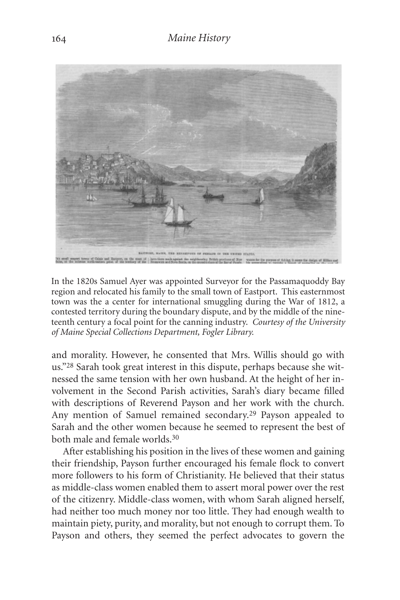

In the 1820s Samuel Ayer was appointed Surveyor for the Passamaquoddy Bay region and relocated his family to the small town of Eastport. This easternmost town was the a center for international smuggling during the War of 1812, a contested territory during the boundary dispute, and by the middle of the nineteenth century a focal point for the canning industry. *Courtesy of the University of Maine Special Collections Department, Fogler Library.*

and morality. However, he consented that Mrs. Willis should go with us."28 Sarah took great interest in this dispute, perhaps because she witnessed the same tension with her own husband. At the height of her involvement in the Second Parish activities, Sarah's diary became filled with descriptions of Reverend Payson and her work with the church. Any mention of Samuel remained secondary.29 Payson appealed to Sarah and the other women because he seemed to represent the best of both male and female worlds.30

After establishing his position in the lives of these women and gaining their friendship, Payson further encouraged his female flock to convert more followers to his form of Christianity. He believed that their status as middle-class women enabled them to assert moral power over the rest of the citizenry. Middle-class women, with whom Sarah aligned herself, had neither too much money nor too little. They had enough wealth to maintain piety, purity, and morality, but not enough to corrupt them. To Payson and others, they seemed the perfect advocates to govern the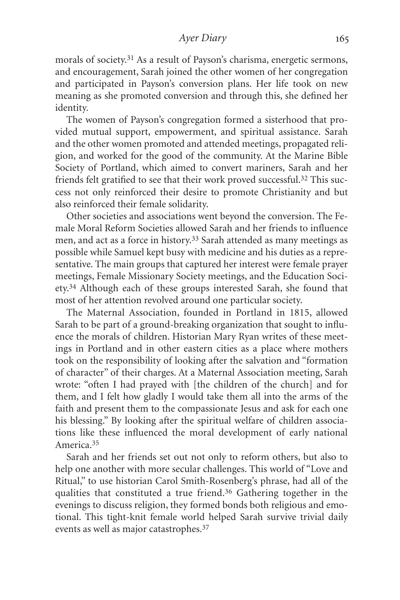morals of society.31 As a result of Payson's charisma, energetic sermons, and encouragement, Sarah joined the other women of her congregation and participated in Payson's conversion plans. Her life took on new meaning as she promoted conversion and through this, she defined her identity.

The women of Payson's congregation formed a sisterhood that provided mutual support, empowerment, and spiritual assistance. Sarah and the other women promoted and attended meetings, propagated religion, and worked for the good of the community. At the Marine Bible Society of Portland, which aimed to convert mariners, Sarah and her friends felt gratified to see that their work proved successful.32 This success not only reinforced their desire to promote Christianity and but also reinforced their female solidarity.

Other societies and associations went beyond the conversion. The Female Moral Reform Societies allowed Sarah and her friends to influence men, and act as a force in history.33 Sarah attended as many meetings as possible while Samuel kept busy with medicine and his duties as a representative. The main groups that captured her interest were female prayer meetings, Female Missionary Society meetings, and the Education Society.34 Although each of these groups interested Sarah, she found that most of her attention revolved around one particular society.

The Maternal Association, founded in Portland in 1815, allowed Sarah to be part of a ground-breaking organization that sought to influence the morals of children. Historian Mary Ryan writes of these meetings in Portland and in other eastern cities as a place where mothers took on the responsibility of looking after the salvation and "formation of character" of their charges. At a Maternal Association meeting, Sarah wrote: "often I had prayed with [the children of the church] and for them, and I felt how gladly I would take them all into the arms of the faith and present them to the compassionate Jesus and ask for each one his blessing." By looking after the spiritual welfare of children associations like these influenced the moral development of early national America.35

Sarah and her friends set out not only to reform others, but also to help one another with more secular challenges. This world of "Love and Ritual," to use historian Carol Smith-Rosenberg's phrase, had all of the qualities that constituted a true friend.36 Gathering together in the evenings to discuss religion, they formed bonds both religious and emotional. This tight-knit female world helped Sarah survive trivial daily events as well as major catastrophes.37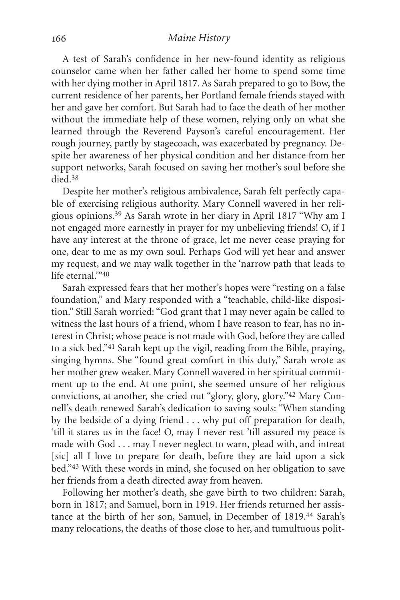A test of Sarah's confidence in her new-found identity as religious counselor came when her father called her home to spend some time with her dying mother in April 1817. As Sarah prepared to go to Bow, the current residence of her parents, her Portland female friends stayed with her and gave her comfort. But Sarah had to face the death of her mother without the immediate help of these women, relying only on what she learned through the Reverend Payson's careful encouragement. Her rough journey, partly by stagecoach, was exacerbated by pregnancy. Despite her awareness of her physical condition and her distance from her support networks, Sarah focused on saving her mother's soul before she died.38

Despite her mother's religious ambivalence, Sarah felt perfectly capable of exercising religious authority. Mary Connell wavered in her religious opinions.39 As Sarah wrote in her diary in April 1817 "Why am I not engaged more earnestly in prayer for my unbelieving friends! O, if I have any interest at the throne of grace, let me never cease praying for one, dear to me as my own soul. Perhaps God will yet hear and answer my request, and we may walk together in the 'narrow path that leads to life eternal."<sup>40</sup>

Sarah expressed fears that her mother's hopes were "resting on a false foundation," and Mary responded with a "teachable, child-like disposition." Still Sarah worried: "God grant that I may never again be called to witness the last hours of a friend, whom I have reason to fear, has no interest in Christ; whose peace is not made with God, before they are called to a sick bed."41 Sarah kept up the vigil, reading from the Bible, praying, singing hymns. She "found great comfort in this duty," Sarah wrote as her mother grew weaker. Mary Connell wavered in her spiritual commitment up to the end. At one point, she seemed unsure of her religious convictions, at another, she cried out "glory, glory, glory."42 Mary Connell's death renewed Sarah's dedication to saving souls: "When standing by the bedside of a dying friend . . . why put off preparation for death, 'till it stares us in the face! O, may I never rest 'till assured my peace is made with God . . . may I never neglect to warn, plead with, and intreat [sic] all I love to prepare for death, before they are laid upon a sick bed."43 With these words in mind, she focused on her obligation to save her friends from a death directed away from heaven.

Following her mother's death, she gave birth to two children: Sarah, born in 1817; and Samuel, born in 1919. Her friends returned her assistance at the birth of her son, Samuel, in December of 1819.44 Sarah's many relocations, the deaths of those close to her, and tumultuous polit-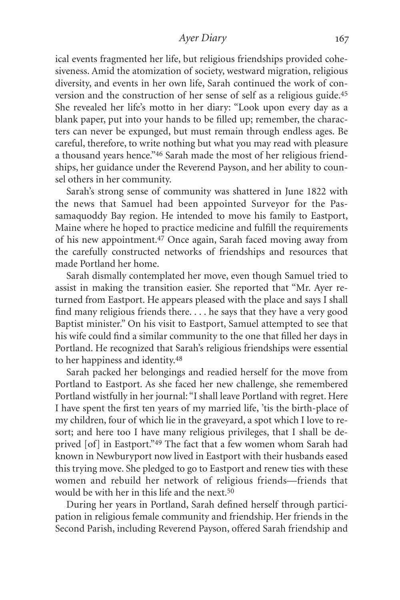ical events fragmented her life, but religious friendships provided cohesiveness. Amid the atomization of society, westward migration, religious diversity, and events in her own life, Sarah continued the work of conversion and the construction of her sense of self as a religious guide.45 She revealed her life's motto in her diary: "Look upon every day as a blank paper, put into your hands to be filled up; remember, the characters can never be expunged, but must remain through endless ages. Be careful, therefore, to write nothing but what you may read with pleasure a thousand years hence."46 Sarah made the most of her religious friendships, her guidance under the Reverend Payson, and her ability to counsel others in her community.

Sarah's strong sense of community was shattered in June 1822 with the news that Samuel had been appointed Surveyor for the Passamaquoddy Bay region. He intended to move his family to Eastport, Maine where he hoped to practice medicine and fulfill the requirements of his new appointment.47 Once again, Sarah faced moving away from the carefully constructed networks of friendships and resources that made Portland her home.

Sarah dismally contemplated her move, even though Samuel tried to assist in making the transition easier. She reported that "Mr. Ayer returned from Eastport. He appears pleased with the place and says I shall find many religious friends there. . . . he says that they have a very good Baptist minister." On his visit to Eastport, Samuel attempted to see that his wife could find a similar community to the one that filled her days in Portland. He recognized that Sarah's religious friendships were essential to her happiness and identity.48

Sarah packed her belongings and readied herself for the move from Portland to Eastport. As she faced her new challenge, she remembered Portland wistfully in her journal: "I shall leave Portland with regret. Here I have spent the first ten years of my married life, 'tis the birth-place of my children, four of which lie in the graveyard, a spot which I love to resort; and here too I have many religious privileges, that I shall be deprived [of] in Eastport."49 The fact that a few women whom Sarah had known in Newburyport now lived in Eastport with their husbands eased this trying move. She pledged to go to Eastport and renew ties with these women and rebuild her network of religious friends—friends that would be with her in this life and the next.50

During her years in Portland, Sarah defined herself through participation in religious female community and friendship. Her friends in the Second Parish, including Reverend Payson, offered Sarah friendship and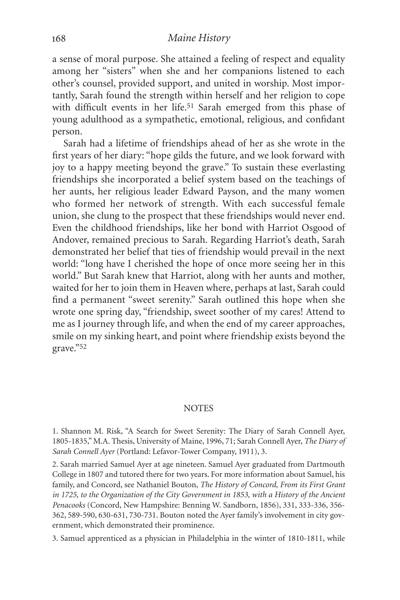a sense of moral purpose. She attained a feeling of respect and equality among her "sisters" when she and her companions listened to each other's counsel, provided support, and united in worship. Most importantly, Sarah found the strength within herself and her religion to cope with difficult events in her life.<sup>51</sup> Sarah emerged from this phase of young adulthood as a sympathetic, emotional, religious, and confidant person.

Sarah had a lifetime of friendships ahead of her as she wrote in the first years of her diary: "hope gilds the future, and we look forward with joy to a happy meeting beyond the grave." To sustain these everlasting friendships she incorporated a belief system based on the teachings of her aunts, her religious leader Edward Payson, and the many women who formed her network of strength. With each successful female union, she clung to the prospect that these friendships would never end. Even the childhood friendships, like her bond with Harriot Osgood of Andover, remained precious to Sarah. Regarding Harriot's death, Sarah demonstrated her belief that ties of friendship would prevail in the next world: "long have I cherished the hope of once more seeing her in this world." But Sarah knew that Harriot, along with her aunts and mother, waited for her to join them in Heaven where, perhaps at last, Sarah could find a permanent "sweet serenity." Sarah outlined this hope when she wrote one spring day, "friendship, sweet soother of my cares! Attend to me as I journey through life, and when the end of my career approaches, smile on my sinking heart, and point where friendship exists beyond the grave."52

#### **NOTES**

1. Shannon M. Risk, "A Search for Sweet Serenity: The Diary of Sarah Connell Ayer, 1805-1835," M.A. Thesis, University of Maine, 1996, 71; Sarah Connell Ayer, *The Diary of Sarah Connell Ayer* (Portland: Lefavor-Tower Company, 1911), 3.

2. Sarah married Samuel Ayer at age nineteen. Samuel Ayer graduated from Dartmouth College in 1807 and tutored there for two years. For more information about Samuel, his family, and Concord, see Nathaniel Bouton, *The History of Concord, From its First Grant in 1725, to the Organization of the City Government in 1853, with a History of the Ancient Penacooks* (Concord, New Hampshire: Benning W. Sandborn, 1856), 331, 333-336, 356- 362, 589-590, 630-631, 730-731. Bouton noted the Ayer family's involvement in city government, which demonstrated their prominence.

3. Samuel apprenticed as a physician in Philadelphia in the winter of 1810-1811, while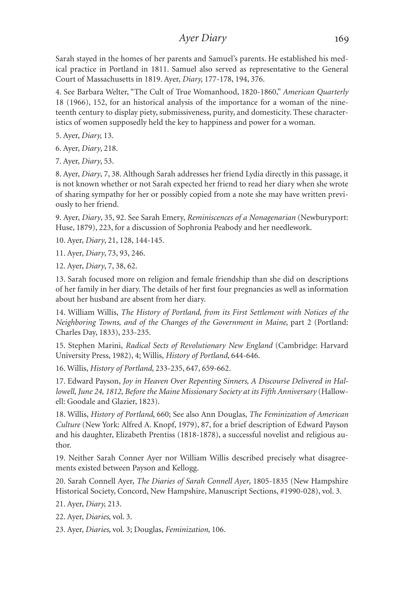Sarah stayed in the homes of her parents and Samuel's parents. He established his medical practice in Portland in 1811. Samuel also served as representative to the General Court of Massachusetts in 1819. Ayer, *Diary,* 177-178, 194, 376.

4. See Barbara Welter, "The Cult of True Womanhood, 1820-1860," *American Quarterly* 18 (1966), 152, for an historical analysis of the importance for a woman of the nineteenth century to display piety, submissiveness, purity, and domesticity. These characteristics of women supposedly held the key to happiness and power for a woman.

5. Ayer, *Diary,* 13.

6. Ayer, *Diary*, 218.

7. Ayer, *Diary*, 53.

8. Ayer, *Diary*, 7, 38. Although Sarah addresses her friend Lydia directly in this passage, it is not known whether or not Sarah expected her friend to read her diary when she wrote of sharing sympathy for her or possibly copied from a note she may have written previously to her friend.

9. Ayer, *Diary*, 35, 92. See Sarah Emery, *Reminiscences of a Nonagenarian* (Newburyport: Huse, 1879), 223, for a discussion of Sophronia Peabody and her needlework.

10. Ayer, *Diary*, 21, 128, 144-145.

11. Ayer, *Diary*, 73, 93, 246.

12. Ayer, *Diary*, 7, 38, 62.

13. Sarah focused more on religion and female friendship than she did on descriptions of her family in her diary. The details of her first four pregnancies as well as information about her husband are absent from her diary.

14. William Willis, *The History of Portland, from its First Settlement with Notices of the Neighboring Towns, and of the Changes of the Government in Maine*, part 2 (Portland: Charles Day, 1833), 233-235.

15. Stephen Marini, *Radical Sects of Revolutionary New England* (Cambridge: Harvard University Press, 1982), 4; Willis, *History of Portland*, 644-646.

16. Willis, *History of Portland*, 233-235, 647, 659-662.

17. Edward Payson, *Joy in Heaven Over Repenting Sinners, A Discourse Delivered in Hallowell, June 24, 1812, Before the Maine Missionary Society at its Fifth Anniversary* (Hallowell: Goodale and Glazier, 1823).

18. Willis, *History of Portland*, 660; See also Ann Douglas, *The Feminization of American Culture* (New York: Alfred A. Knopf, 1979), 87, for a brief description of Edward Payson and his daughter, Elizabeth Prentiss (1818-1878), a successful novelist and religious author.

19. Neither Sarah Conner Ayer nor William Willis described precisely what disagreements existed between Payson and Kellogg.

20. Sarah Connell Ayer, *The Diaries of Sarah Connell Ayer*, 1805-1835 (New Hampshire Historical Society, Concord, New Hampshire, Manuscript Sections, #1990-028), vol. 3.

21. Ayer, *Diary,* 213.

22. Ayer, *Diaries*, vol. 3.

23. Ayer, *Diaries*, vol. 3; Douglas, *Feminization*, 106.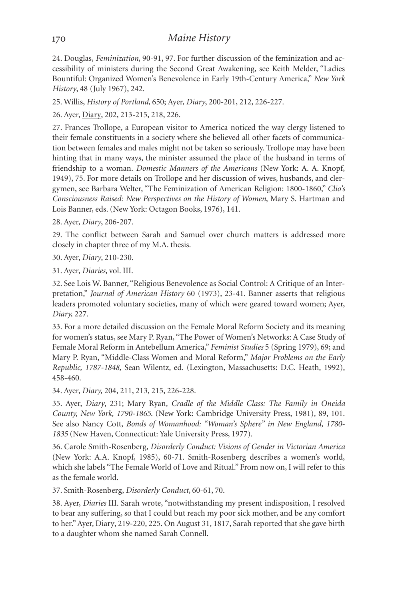#### *Maine History*

24. Douglas, *Feminization*, 90-91, 97. For further discussion of the feminization and accessibility of ministers during the Second Great Awakening, see Keith Melder, "Ladies Bountiful: Organized Women's Benevolence in Early 19th-Century America," *New York History*, 48 (July 1967), 242.

25. Willis, *History of Portland*, 650; Ayer, *Diary*, 200-201, 212, 226-227.

26. Ayer, Diary, 202, 213-215, 218, 226.

27. Frances Trollope, a European visitor to America noticed the way clergy listened to their female constituents in a society where she believed all other facets of communication between females and males might not be taken so seriously. Trollope may have been hinting that in many ways, the minister assumed the place of the husband in terms of friendship to a woman. *Domestic Manners of the Americans* (New York: A. A. Knopf, 1949), 75. For more details on Trollope and her discussion of wives, husbands, and clergymen, see Barbara Welter, "The Feminization of American Religion: 1800-1860," *Clio's Consciousness Raised: New Perspectives on the History of Women*, Mary S. Hartman and Lois Banner, eds. (New York: Octagon Books, 1976), 141.

28. Ayer, *Diary*, 206-207.

29. The conflict between Sarah and Samuel over church matters is addressed more closely in chapter three of my M.A. thesis.

30. Ayer, *Diary*, 210-230.

31. Ayer, *Diaries*, vol. III.

32. See Lois W. Banner, "Religious Benevolence as Social Control: A Critique of an Interpretation," *Journal of American History* 60 (1973), 23-41. Banner asserts that religious leaders promoted voluntary societies, many of which were geared toward women; Ayer, *Diary,* 227.

33. For a more detailed discussion on the Female Moral Reform Society and its meaning for women's status, see Mary P. Ryan, "The Power of Women's Networks: A Case Study of Female Moral Reform in Antebellum America," *Feminist Studies* 5 (Spring 1979), 69; and Mary P. Ryan, "Middle-Class Women and Moral Reform," *Major Problems on the Early Republic, 1787-1848,* Sean Wilentz, ed. (Lexington, Massachusetts: D.C. Heath, 1992), 458-460.

34. Ayer, *Diary,* 204, 211, 213, 215, 226-228.

35. Ayer, *Diary*, 231; Mary Ryan, *Cradle of the Middle Class: The Family in Oneida County, New York, 1790-1865*. (New York: Cambridge University Press, 1981), 89, 101. See also Nancy Cott, *Bonds of Womanhood: "Woman's Sphere" in New England, 1780- 1835* (New Haven, Connecticut: Yale University Press, 1977).

36. Carole Smith-Rosenberg, *Disorderly Conduct: Visions of Gender in Victorian America* (New York: A.A. Knopf, 1985), 60-71. Smith-Rosenberg describes a women's world, which she labels "The Female World of Love and Ritual." From now on, I will refer to this as the female world.

37. Smith-Rosenberg, *Disorderly Conduct*, 60-61, 70.

38. Ayer, *Diaries* III. Sarah wrote, "notwithstanding my present indisposition, I resolved to bear any suffering, so that I could but reach my poor sick mother, and be any comfort to her." Ayer, Diary, 219-220, 225. On August 31, 1817, Sarah reported that she gave birth to a daughter whom she named Sarah Connell.